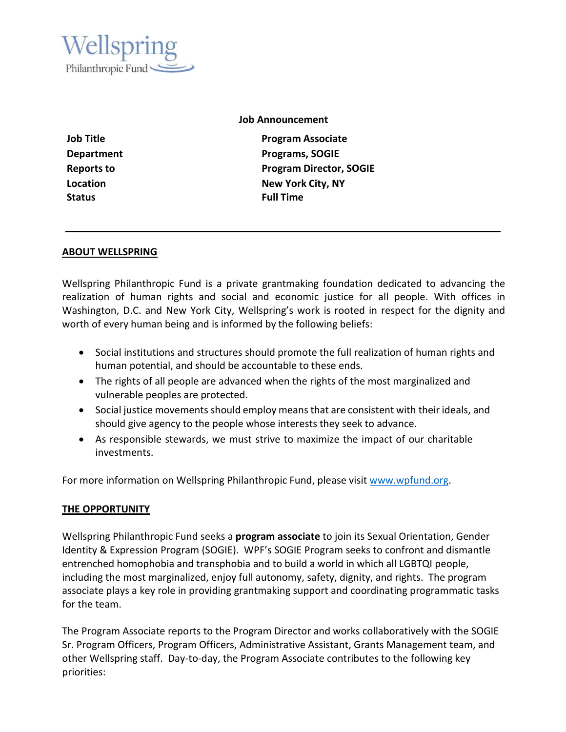

#### **Job Announcement**

**Status Full Time**

**Job Title Program Associate Department Programs, SOGIE Reports to Program Director, SOGIE Location New York City, NY**

#### **ABOUT WELLSPRING**

Wellspring Philanthropic Fund is a private grantmaking foundation dedicated to advancing the realization of human rights and social and economic justice for all people. With offices in Washington, D.C. and New York City, Wellspring's work is rooted in respect for the dignity and worth of every human being and is informed by the following beliefs:

- Social institutions and structures should promote the full realization of human rights and human potential, and should be accountable to these ends.
- The rights of all people are advanced when the rights of the most marginalized and vulnerable peoples are protected.
- Social justice movements should employ meansthat are consistent with their ideals, and should give agency to the people whose interests they seek to advance.
- As responsible stewards, we must strive to maximize the impact of our charitable investments.

For more information on Wellspring Philanthropic Fund, please visit [www.wpfund.org.](http://www.wpfund.org/)

#### **THE OPPORTUNITY**

Wellspring Philanthropic Fund seeks a **program associate** to join its Sexual Orientation, Gender Identity & Expression Program (SOGIE). WPF's SOGIE Program seeks to confront and dismantle entrenched homophobia and transphobia and to build a world in which all LGBTQI people, including the most marginalized, enjoy full autonomy, safety, dignity, and rights. The program associate plays a key role in providing grantmaking support and coordinating programmatic tasks for the team.

The Program Associate reports to the Program Director and works collaboratively with the SOGIE Sr. Program Officers, Program Officers, Administrative Assistant, Grants Management team, and other Wellspring staff. Day-to-day, the Program Associate contributes to the following key priorities: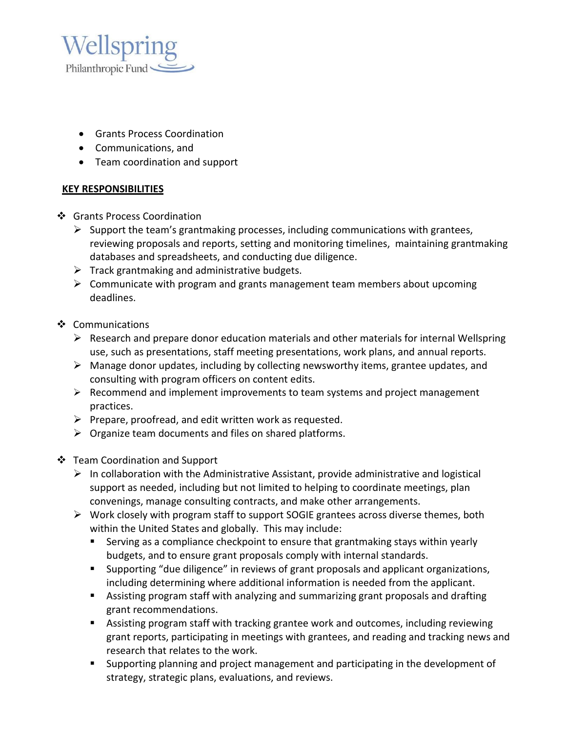

- Grants Process Coordination
- Communications, and
- Team coordination and support

## **KEY RESPONSIBILITIES**

- ❖ Grants Process Coordination
	- $\triangleright$  Support the team's grantmaking processes, including communications with grantees, reviewing proposals and reports, setting and monitoring timelines, maintaining grantmaking databases and spreadsheets, and conducting due diligence.
	- $\triangleright$  Track grantmaking and administrative budgets.
	- $\triangleright$  Communicate with program and grants management team members about upcoming deadlines.
- ❖ Communications
	- $\triangleright$  Research and prepare donor education materials and other materials for internal Wellspring use, such as presentations, staff meeting presentations, work plans, and annual reports.
	- $\triangleright$  Manage donor updates, including by collecting newsworthy items, grantee updates, and consulting with program officers on content edits.
	- $\triangleright$  Recommend and implement improvements to team systems and project management practices.
	- $\triangleright$  Prepare, proofread, and edit written work as requested.
	- $\triangleright$  Organize team documents and files on shared platforms.
- Team Coordination and Support
	- $\triangleright$  In collaboration with the Administrative Assistant, provide administrative and logistical support as needed, including but not limited to helping to coordinate meetings, plan convenings, manage consulting contracts, and make other arrangements.
	- $\triangleright$  Work closely with program staff to support SOGIE grantees across diverse themes, both within the United States and globally. This may include:
		- Serving as a compliance checkpoint to ensure that grantmaking stays within yearly budgets, and to ensure grant proposals comply with internal standards.
		- Supporting "due diligence" in reviews of grant proposals and applicant organizations, including determining where additional information is needed from the applicant.
		- Assisting program staff with analyzing and summarizing grant proposals and drafting grant recommendations.
		- Assisting program staff with tracking grantee work and outcomes, including reviewing grant reports, participating in meetings with grantees, and reading and tracking news and research that relates to the work.
		- Supporting planning and project management and participating in the development of strategy, strategic plans, evaluations, and reviews.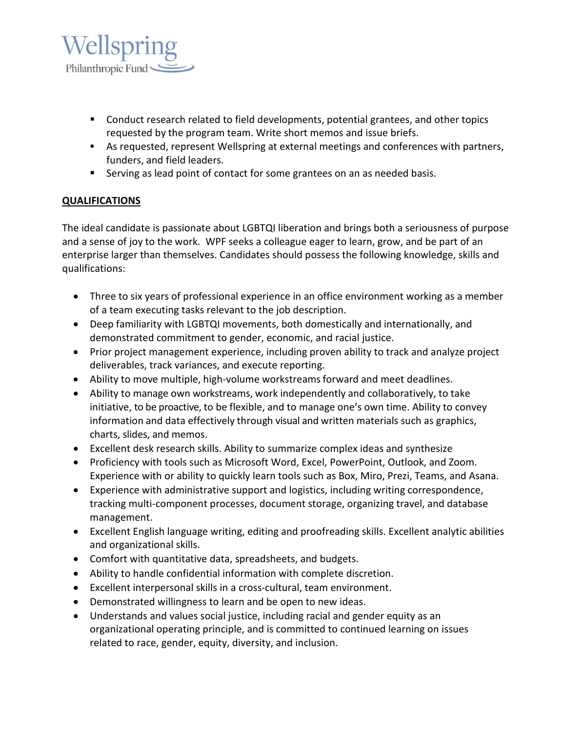

- Conduct research related to field developments, potential grantees, and other topics requested by the program team. Write short memos and issue briefs.
- As requested, represent Wellspring at external meetings and conferences with partners, funders, and field leaders.
- Serving as lead point of contact for some grantees on an as needed basis.

# **QUALIFICATIONS**

The ideal candidate is passionate about LGBTQI liberation and brings both a seriousness of purpose and a sense of joy to the work. WPF seeks a colleague eager to learn, grow, and be part of an enterprise larger than themselves. Candidates should possess the following knowledge, skills and qualifications:

- Three to six years of professional experience in an office environment working as a member of a team executing tasks relevant to the job description.
- Deep familiarity with LGBTQI movements, both domestically and internationally, and demonstrated commitment to gender, economic, and racial justice.
- Prior project management experience, including proven ability to track and analyze project deliverables, track variances, and execute reporting.
- Ability to move multiple, high-volume workstreams forward and meet deadlines.
- Ability to manage own workstreams, work independently and collaboratively, to take initiative, to be proactive, to be flexible, and to manage one's own time. Ability to convey information and data effectively through visual and written materials such as graphics, charts, slides, and memos.
- Excellent desk research skills. Ability to summarize complex ideas and synthesize
- Proficiency with tools such as Microsoft Word, Excel, PowerPoint, Outlook, and Zoom. Experience with or ability to quickly learn tools such as Box, Miro, Prezi, Teams, and Asana.
- Experience with administrative support and logistics, including writing correspondence, tracking multi-component processes, document storage, organizing travel, and database management.
- Excellent English language writing, editing and proofreading skills. Excellent analytic abilities and organizational skills.
- Comfort with quantitative data, spreadsheets, and budgets.
- Ability to handle confidential information with complete discretion.
- Excellent interpersonal skills in a cross-cultural, team environment.
- Demonstrated willingness to learn and be open to new ideas.
- Understands and values social justice, including racial and gender equity as an organizational operating principle, and is committed to continued learning on issues related to race, gender, equity, diversity, and inclusion.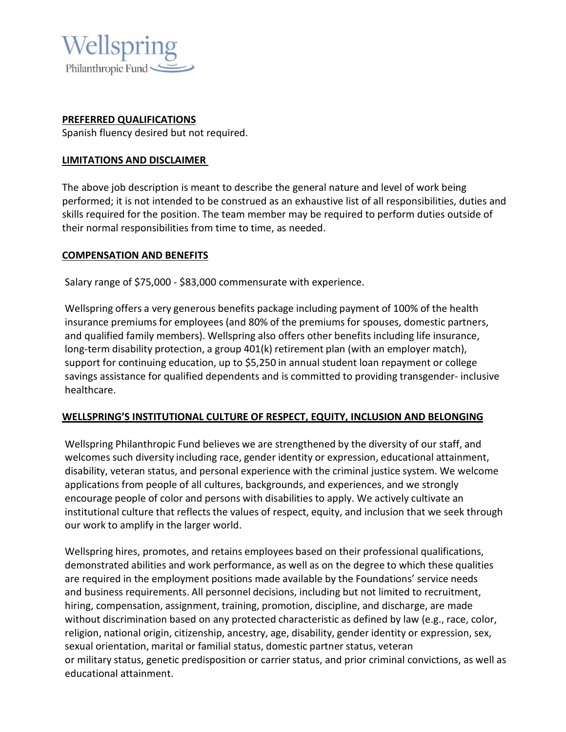

## **PREFERRED QUALIFICATIONS**

Spanish fluency desired but not required.

## **LIMITATIONS AND DISCLAIMER**

The above job description is meant to describe the general nature and level of work being performed; it is not intended to be construed as an exhaustive list of all responsibilities, duties and skills required for the position. The team member may be required to perform duties outside of their normal responsibilities from time to time, as needed.

## **COMPENSATION AND BENEFITS**

Salary range of \$75,000 - \$83,000 commensurate with experience.

Wellspring offers a very generous benefits package including payment of 100% of the health insurance premiums for employees (and 80% of the premiums for spouses, domestic partners, and qualified family members). Wellspring also offers other benefits including life insurance, long-term disability protection, a group 401(k) retirement plan (with an employer match), support for continuing education, up to \$5,250 in annual student loan repayment or college savings assistance for qualified dependents and is committed to providing transgender- inclusive healthcare.

## **WELLSPRING'S INSTITUTIONAL CULTURE OF RESPECT, EQUITY, INCLUSION AND BELONGING**

Wellspring Philanthropic Fund believes we are strengthened by the diversity of our staff, and welcomes such diversity including race, gender identity or expression, educational attainment, disability, veteran status, and personal experience with the criminal justice system. We welcome applications from people of all cultures, backgrounds, and experiences, and we strongly encourage people of color and persons with disabilities to apply. We actively cultivate an institutional culture that reflects the values of respect, equity, and inclusion that we seek through our work to amplify in the larger world.

Wellspring hires, promotes, and retains employees based on their professional qualifications, demonstrated abilities and work performance, as well as on the degree to which these qualities are required in the employment positions made available by the Foundations' service needs and business requirements. All personnel decisions, including but not limited to recruitment, hiring, compensation, assignment, training, promotion, discipline, and discharge, are made without discrimination based on any protected characteristic as defined by law (e.g., race, color, religion, national origin, citizenship, ancestry, age, disability, gender identity or expression, sex, sexual orientation, marital or familial status, domestic partner status, veteran or military status, genetic predisposition or carrier status, and prior criminal convictions, as well as educational attainment.